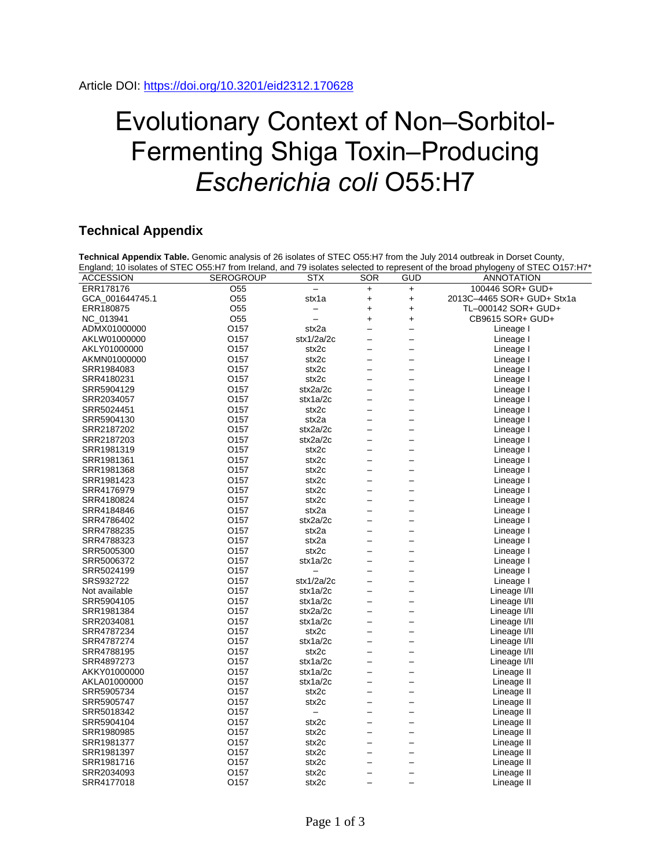## Evolutionary Context of Non–Sorbitol-Fermenting Shiga Toxin–Producing *Escherichia coli* O55:H7

## **Technical Appendix**

|                  |                  |            |                          |                          | England; 10 isolates of STEC O55:H7 from Ireland, and 79 isolates selected to represent of the broad phylogeny of STEC O157:H7* |
|------------------|------------------|------------|--------------------------|--------------------------|---------------------------------------------------------------------------------------------------------------------------------|
| <b>ACCESSION</b> | <b>SEROGROUP</b> | <b>STX</b> | <b>SOR</b>               | <b>GUD</b>               | <b>ANNOTATION</b>                                                                                                               |
| ERR178176        | O <sub>55</sub>  |            | $\ddot{}$                | $+$                      | 100446 SOR+ GUD+                                                                                                                |
| GCA_001644745.1  | O <sub>55</sub>  | stx1a      | $\ddot{}$                | $\ddot{}$                | 2013C-4465 SOR+ GUD+ Stx1a                                                                                                      |
| ERR180875        | O <sub>55</sub>  | —          | $\ddot{}$                | $\ddot{}$                | TL-000142 SOR+ GUD+                                                                                                             |
| NC_013941        | O <sub>55</sub>  |            | $\ddot{}$                | $\ddot{}$                | CB9615 SOR+ GUD+                                                                                                                |
| ADMX01000000     | O157             | stx2a      | -                        | —                        | Lineage I                                                                                                                       |
| AKLW01000000     | 0157             | stx1/2a/2c | $\overline{\phantom{0}}$ | $\overline{\phantom{0}}$ | Lineage I                                                                                                                       |
| AKLY01000000     | O157             | stx2c      | $\overline{\phantom{0}}$ | $\overline{\phantom{0}}$ | Lineage I                                                                                                                       |
| AKMN01000000     | O157             | stx2c      | $\overline{\phantom{0}}$ | $\overline{\phantom{0}}$ | Lineage I                                                                                                                       |
| SRR1984083       | O157             | stx2c      | $\overline{\phantom{0}}$ | $\overline{\phantom{0}}$ | Lineage I                                                                                                                       |
| SRR4180231       | O157             | stx2c      | $\overline{\phantom{0}}$ | $\overline{\phantom{0}}$ | Lineage I                                                                                                                       |
| SRR5904129       | O157             | stx2a/2c   | $\overline{\phantom{0}}$ | $\overline{\phantom{0}}$ | Lineage I                                                                                                                       |
| SRR2034057       | O157             | stx1a/2c   | $\overline{\phantom{0}}$ | $\overline{\phantom{0}}$ | Lineage I                                                                                                                       |
| SRR5024451       | O157             | stx2c      | $\overline{\phantom{0}}$ | $\overline{\phantom{0}}$ | Lineage I                                                                                                                       |
| SRR5904130       | O157             | stx2a      | $\overline{\phantom{0}}$ |                          | Lineage I                                                                                                                       |
| SRR2187202       | O157             | stx2a/2c   | $\overline{\phantom{0}}$ | $\overline{\phantom{0}}$ | Lineage I                                                                                                                       |
| SRR2187203       | O157             | stx2a/2c   | $\overline{a}$           | $\overline{a}$           | Lineage I                                                                                                                       |
| SRR1981319       | O157             | stx2c      | —                        | —                        | Lineage I                                                                                                                       |
| SRR1981361       | O157             | stx2c      | $\qquad \qquad -$        | $\overline{\phantom{0}}$ | Lineage I                                                                                                                       |
| SRR1981368       | O157             | stx2c      | $\overline{\phantom{0}}$ | —                        | Lineage I                                                                                                                       |
| SRR1981423       | O <sub>157</sub> | stx2c      | $\overline{a}$           | $\overline{\phantom{0}}$ | Lineage I                                                                                                                       |
| SRR4176979       | O157             | stx2c      | $\overline{\phantom{0}}$ | $\overline{\phantom{0}}$ | Lineage I                                                                                                                       |
| SRR4180824       | O157             | stx2c      |                          | $\overline{\phantom{0}}$ | Lineage I                                                                                                                       |
| SRR4184846       | O157             | stx2a      | $\overline{\phantom{0}}$ | $\overline{\phantom{0}}$ | Lineage I                                                                                                                       |
| SRR4786402       | O157             | stx2a/2c   | -                        | —                        | Lineage I                                                                                                                       |
| SRR4788235       | O <sub>157</sub> | stx2a      | $\overline{\phantom{0}}$ | $\overline{\phantom{0}}$ | Lineage I                                                                                                                       |
| SRR4788323       | O157             | stx2a      | $\overline{a}$           | $\overline{\phantom{0}}$ | Lineage I                                                                                                                       |
| SRR5005300       | O157             | stx2c      | $\overline{\phantom{0}}$ | $\overline{\phantom{0}}$ | Lineage I                                                                                                                       |
| SRR5006372       | O157             | stx1a/2c   | $\overline{\phantom{0}}$ | $\overline{\phantom{0}}$ | Lineage I                                                                                                                       |
| SRR5024199       | O157             |            | —                        | —                        | Lineage I                                                                                                                       |
| SRS932722        | 0157             | stx1/2a/2c | $\overline{\phantom{0}}$ | $\overline{\phantom{0}}$ | Lineage I                                                                                                                       |
| Not available    | 0157             | stx1a/2c   | $\overline{a}$           | $\overline{\phantom{0}}$ | Lineage I/II                                                                                                                    |
| SRR5904105       | O157             | stx1a/2c   | $\overline{\phantom{0}}$ | $\overline{\phantom{0}}$ | Lineage I/II                                                                                                                    |
| SRR1981384       | O <sub>157</sub> | stx2a/2c   | $\overline{\phantom{0}}$ | $\overline{\phantom{0}}$ | Lineage I/II                                                                                                                    |
| SRR2034081       | O157             | stx1a/2c   | $\overline{\phantom{0}}$ | $\overline{\phantom{0}}$ | Lineage I/II                                                                                                                    |
| SRR4787234       | O157             | stx2c      | $\qquad \qquad -$        | $\overline{\phantom{0}}$ | Lineage I/II                                                                                                                    |
| SRR4787274       | 0157             | stx1a/2c   | $\overline{\phantom{0}}$ | $\overline{\phantom{0}}$ | Lineage I/II                                                                                                                    |
| SRR4788195       | O157             | stx2c      | $\overline{\phantom{0}}$ | —                        | Lineage I/II                                                                                                                    |
| SRR4897273       | O157             | stx1a/2c   | $\overline{\phantom{0}}$ | $\overline{\phantom{0}}$ | Lineage I/II                                                                                                                    |
| AKKY01000000     | O <sub>157</sub> | stx1a/2c   | $\overline{\phantom{0}}$ | $\overline{\phantom{0}}$ | Lineage II                                                                                                                      |
| AKLA01000000     | O157             | stx1a/2c   | $\overline{\phantom{0}}$ | $\overline{\phantom{0}}$ | Lineage II                                                                                                                      |
| SRR5905734       | O157             | stx2c      | $\overline{a}$           | $\overline{\phantom{0}}$ | Lineage II                                                                                                                      |
| SRR5905747       | O157             | stx2c      |                          | $\overline{\phantom{0}}$ | Lineage II                                                                                                                      |
| SRR5018342       | O157             |            | $\overline{\phantom{0}}$ | $\overline{\phantom{0}}$ | Lineage II                                                                                                                      |
| SRR5904104       | O <sub>157</sub> | stx2c      | $\overline{\phantom{0}}$ | $\overline{\phantom{0}}$ | Lineage II                                                                                                                      |
| SRR1980985       | O157             | stx2c      | $\overline{a}$           | $\overline{\phantom{0}}$ | Lineage II                                                                                                                      |
| SRR1981377       | O157             | stx2c      | $\overline{a}$           |                          | Lineage II                                                                                                                      |
| SRR1981397       | O157             | stx2c      |                          | —                        | Lineage II                                                                                                                      |
| SRR1981716       | O157             | stx2c      | -                        | $\overline{\phantom{0}}$ | Lineage II                                                                                                                      |
| SRR2034093       | O157             | stx2c      | $\overline{\phantom{0}}$ | <sup>-</sup>             | Lineage II                                                                                                                      |
| SRR4177018       | 0157             | stx2c      | $\overline{\phantom{0}}$ | $\overline{\phantom{0}}$ | Lineage II                                                                                                                      |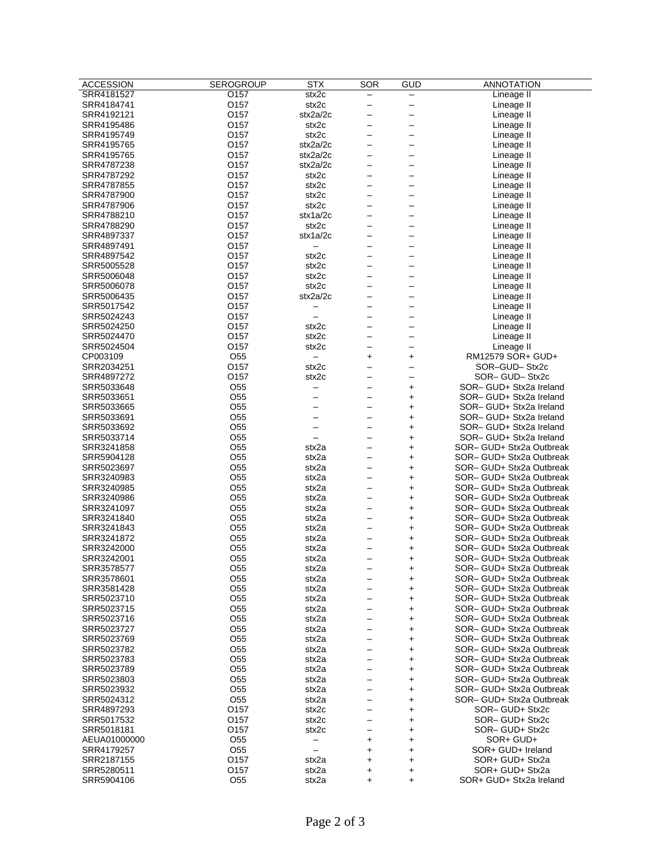| $\overline{\phantom{0}}$<br>stx2c<br>O157<br>SRR4184741<br>Lineage II<br>$\overline{\phantom{0}}$<br>—<br>O157<br>stx2a/2c<br>Lineage II<br>SRR4192121<br>—<br>O157<br>stx2c<br>SRR4195486<br>Lineage II<br>$\overline{\phantom{0}}$<br>$\overline{\phantom{0}}$<br>O157<br>stx2c<br>Lineage II<br>SRR4195749<br>$\qquad \qquad -$<br>$\qquad \qquad -$<br>O157<br>stx2a/2c<br>SRR4195765<br>Lineage II<br>$\qquad \qquad -$<br>$\qquad \qquad -$<br>O157<br>stx2a/2c<br>SRR4195765<br>Lineage II<br>$\qquad \qquad -$<br>$\qquad \qquad -$<br>O157<br>stx2a/2c<br>SRR4787238<br>Lineage II<br>$\overline{\phantom{0}}$<br>—<br>O157<br>stx2c<br>SRR4787292<br>Lineage II<br>$\qquad \qquad -$<br>$\qquad \qquad -$<br>O157<br>stx2c<br>SRR4787855<br>Lineage II<br>$\qquad \qquad -$<br>$\qquad \qquad -$<br>O157<br>stx2c<br>SRR4787900<br>Lineage II<br>$\overline{\phantom{0}}$<br>$\overline{\phantom{0}}$<br>SRR4787906<br>0157<br>stx2c<br>Lineage II<br>$\overline{\phantom{0}}$<br>$\overline{\phantom{0}}$<br>O157<br>stx1a/2c<br>SRR4788210<br>Lineage II<br>$\overline{\phantom{0}}$<br>$\overline{\phantom{0}}$<br>O157<br>stx2c<br>Lineage II<br>SRR4788290<br>—<br>O157<br>stx1a/2c<br>SRR4897337<br>Lineage II<br>$\overline{\phantom{0}}$<br>O157<br>SRR4897491<br>Lineage II<br>SRR4897542<br>O157<br>stx2c<br>Lineage II<br>—<br>O157<br>stx2c<br>Lineage II<br>SRR5005528<br>$\qquad \qquad -$<br>$\qquad \qquad -$<br>O157<br>stx2c<br>SRR5006048<br>Lineage II<br>$\overline{\phantom{0}}$<br>$\overline{\phantom{0}}$<br>O157<br>stx2c<br>Lineage II<br>SRR5006078<br>O157<br>stx2a/2c<br>SRR5006435<br>Lineage II<br>$\overline{\phantom{0}}$<br>O157<br>Lineage II<br>SRR5017542<br>$\qquad \qquad -$<br>$\qquad \qquad -$<br>$\qquad \qquad -$<br>O157<br>SRR5024243<br>$\overline{\phantom{0}}$<br>Lineage II<br>—<br>—<br>O157<br>stx2c<br>SRR5024250<br>Lineage II<br>$\overline{\phantom{0}}$<br>O157<br>stx2c<br>SRR5024470<br>Lineage II<br>—<br>$\qquad \qquad -$<br>O157<br>SRR5024504<br>stx2c<br>Lineage II<br>$\overline{\phantom{0}}$<br>$\overline{\phantom{0}}$<br>O <sub>55</sub><br>CP003109<br>RM12579 SOR+ GUD+<br>$\ddot{}$<br>$\ddot{}$<br>$\overline{\phantom{0}}$<br>O157<br>stx2c<br>SRR2034251<br>SOR-GUD-Stx2c<br>$\overline{\phantom{0}}$<br>$\overline{\phantom{0}}$<br>0157<br>SOR-GUD-Stx2c<br>SRR4897272<br>stx2c<br>—<br>O <sub>55</sub><br>SOR- GUD+ Stx2a Ireland<br>SRR5033648<br>$\overline{\phantom{0}}$<br>+<br>—<br>O <sub>55</sub><br>SRR5033651<br>SOR- GUD+ Stx2a Ireland<br>$\ddot{}$<br>—<br>O <sub>55</sub><br>SOR- GUD+ Stx2a Ireland<br>SRR5033665<br>+<br>—<br>O <sub>55</sub><br>SOR- GUD+ Stx2a Ireland<br>SRR5033691<br>$\ddot{}$<br>$\overline{\phantom{0}}$<br>$\qquad \qquad -$<br>O <sub>55</sub><br>SOR- GUD+ Stx2a Ireland<br>SRR5033692<br>$\ddot{}$<br>$\overline{\phantom{0}}$<br>$\overline{\phantom{0}}$<br>O <sub>55</sub><br>SOR- GUD+ Stx2a Ireland<br>SRR5033714<br>$\ddot{}$<br>$\qquad \qquad -$<br>O <sub>55</sub><br>stx2a<br>SOR- GUD+ Stx2a Outbreak<br>SRR3241858<br>$\ddot{}$<br>$\qquad \qquad -$<br>O <sub>55</sub><br>stx2a<br>SOR- GUD+ Stx2a Outbreak<br>SRR5904128<br>$\ddot{}$<br>$\qquad \qquad -$<br>O <sub>55</sub><br>stx2a<br>SOR- GUD+ Stx2a Outbreak<br>SRR5023697<br>$\ddot{}$<br>—<br>O <sub>55</sub><br>stx2a<br>SOR- GUD+ Stx2a Outbreak<br>SRR3240983<br>$\ddot{}$<br>$\qquad \qquad -$<br>O <sub>55</sub><br>stx2a<br>SOR- GUD+ Stx2a Outbreak<br>SRR3240985<br>$\ddot{}$<br>$\qquad \qquad -$<br>O <sub>55</sub><br>SOR- GUD+ Stx2a Outbreak<br>SRR3240986<br>stx2a<br>$\overline{\phantom{0}}$<br>$\ddot{}$<br>O <sub>55</sub><br>SRR3241097<br>stx2a<br>SOR– GUD+ Stx2a Outbreak<br>$\ddot{}$<br>$\overline{\phantom{0}}$<br>O <sub>55</sub><br>SOR- GUD+ Stx2a Outbreak<br>SRR3241840<br>stx2a<br>$\ddot{}$<br>O <sub>55</sub><br>SRR3241843<br>stx2a<br>SOR- GUD+ Stx2a Outbreak<br>+<br>$\qquad \qquad -$<br>O <sub>55</sub><br>stx2a<br>SOR- GUD+ Stx2a Outbreak<br>SRR3241872<br>$\overline{\phantom{0}}$<br>$\ddot{}$<br>O <sub>55</sub><br>stx2a<br>SOR- GUD+ Stx2a Outbreak<br>SRR3242000<br>$\ddot{}$<br>—<br>O <sub>55</sub><br>stx2a<br>SOR- GUD+ Stx2a Outbreak<br>SRR3242001<br>$\ddot{}$<br>—<br>O <sub>55</sub><br>stx2a<br>SRR3578577<br>SOR- GUD+ Stx2a Outbreak<br>$\ddag$<br>SRR3578601<br>SOR- GUD+ Stx2a Outbreak<br>O55<br>stx2a<br>+<br>SRR3581428<br>O <sub>55</sub><br>SOR- GUD+ Stx2a Outbreak<br>stx2a<br>$\ddot{}$<br>—<br>O <sub>55</sub><br>SOR- GUD+ Stx2a Outbreak<br>SRR5023710<br>stx2a<br>$\ddot{}$<br>$\qquad \qquad -$<br>O <sub>55</sub><br>SOR- GUD+ Stx2a Outbreak<br>SRR5023715<br>stx2a<br>$\qquad \qquad -$<br>$\ddot{}$<br>O <sub>55</sub><br>SOR- GUD+ Stx2a Outbreak<br>SRR5023716<br>stx2a<br>+<br>—<br>O <sub>55</sub><br>SOR- GUD+ Stx2a Outbreak<br>SRR5023727<br>stx2a<br>$\qquad \qquad -$<br>+<br>O <sub>55</sub><br>SOR- GUD+ Stx2a Outbreak<br>SRR5023769<br>stx2a<br>+<br>$\qquad \qquad -$<br>O <sub>55</sub><br>SOR- GUD+ Stx2a Outbreak<br>SRR5023782<br>stx2a<br>$\overline{\phantom{0}}$<br>$\ddot{}$<br>O <sub>55</sub><br>SRR5023783<br>stx2a<br>SOR- GUD+ Stx2a Outbreak<br>$\ddagger$<br>$\overline{\phantom{0}}$<br>O <sub>55</sub><br>SOR- GUD+ Stx2a Outbreak<br>SRR5023789<br>stx2a<br>$\ddot{}$<br>$\overline{\phantom{0}}$<br>SRR5023803<br>O55<br>stx2a<br>SOR- GUD+ Stx2a Outbreak<br>$\ddot{}$<br>$\qquad \qquad -$<br>O <sub>55</sub><br>SOR- GUD+ Stx2a Outbreak<br>SRR5023932<br>stx2a<br>$\overline{\phantom{0}}$<br>$\ddot{}$<br>O <sub>55</sub><br>SOR- GUD+ Stx2a Outbreak<br>SRR5024312<br>stx2a<br>+<br>$\qquad \qquad -$<br>O157<br>stx2c<br>SOR-GUD+ Stx2c<br>SRR4897293<br>$\qquad \qquad -$<br>+<br>SOR-GUD+Stx2c<br>O157<br>SRR5017532<br>stx2c<br>$\ddagger$<br>$\qquad \qquad -$<br>O157<br>SOR-GUD+Stx2c<br>SRR5018181<br>stx2c<br>$\ddagger$<br>SOR+ GUD+<br>AEUA01000000<br>O55<br>$\ddot{}$<br>$\ddot{}$<br>—<br>SOR+ GUD+ Ireland<br>SRR4179257<br>O55<br>$\ddot{}$<br>$\ddot{}$<br>$\overline{\phantom{m}}$<br>O157<br>SOR+ GUD+ Stx2a<br>SRR2187155<br>stx2a<br>$\ddot{}$<br>$\ddot{}$<br>O157<br>SOR+ GUD+ Stx2a<br>SRR5280511<br>stx2a<br>+<br>+<br>O <sub>55</sub><br>SRR5904106<br>stx2a<br>SOR+ GUD+ Stx2a Ireland<br>$\ddot{}$<br>$\ddagger$ | <b>ACCESSION</b> | <b>SEROGROUP</b> | <b>STX</b> | SOR | GUD | <b>ANNOTATION</b> |
|-------------------------------------------------------------------------------------------------------------------------------------------------------------------------------------------------------------------------------------------------------------------------------------------------------------------------------------------------------------------------------------------------------------------------------------------------------------------------------------------------------------------------------------------------------------------------------------------------------------------------------------------------------------------------------------------------------------------------------------------------------------------------------------------------------------------------------------------------------------------------------------------------------------------------------------------------------------------------------------------------------------------------------------------------------------------------------------------------------------------------------------------------------------------------------------------------------------------------------------------------------------------------------------------------------------------------------------------------------------------------------------------------------------------------------------------------------------------------------------------------------------------------------------------------------------------------------------------------------------------------------------------------------------------------------------------------------------------------------------------------------------------------------------------------------------------------------------------------------------------------------------------------------------------------------------------------------------------------------------------------------------------------------------------------------------------------------------------------------------------------------------------------------------------------------------------------------------------------------------------------------------------------------------------------------------------------------------------------------------------------------------------------------------------------------------------------------------------------------------------------------------------------------------------------------------------------------------------------------------------------------------------------------------------------------------------------------------------------------------------------------------------------------------------------------------------------------------------------------------------------------------------------------------------------------------------------------------------------------------------------------------------------------------------------------------------------------------------------------------------------------------------------------------------------------------------------------------------------------------------------------------------------------------------------------------------------------------------------------------------------------------------------------------------------------------------------------------------------------------------------------------------------------------------------------------------------------------------------------------------------------------------------------------------------------------------------------------------------------------------------------------------------------------------------------------------------------------------------------------------------------------------------------------------------------------------------------------------------------------------------------------------------------------------------------------------------------------------------------------------------------------------------------------------------------------------------------------------------------------------------------------------------------------------------------------------------------------------------------------------------------------------------------------------------------------------------------------------------------------------------------------------------------------------------------------------------------------------------------------------------------------------------------------------------------------------------------------------------------------------------------------------------------------------------------------------------------------------------------------------------------------------------------------------------------------------------------------------------------------------------------------------------------------------------------------------------------------------------------------------------------------------------------------------------------------------------------------------------------------------------------------------------------------------------------------------------------------------------------------------------------------------------------------------------------------------------------------------------------------------------------------------------------------------------------------------------------------------------------------------------------------------------------------------------------------------------------------------------------------------------------------------------------------------------------------------------------------------------------------------------------------------------------------------------------------------------------------------------------------------------------------------------------------------------------------------------------------------------------------------------------------------------------------------------------------------------------------------------------------------------------------------------------|------------------|------------------|------------|-----|-----|-------------------|
|                                                                                                                                                                                                                                                                                                                                                                                                                                                                                                                                                                                                                                                                                                                                                                                                                                                                                                                                                                                                                                                                                                                                                                                                                                                                                                                                                                                                                                                                                                                                                                                                                                                                                                                                                                                                                                                                                                                                                                                                                                                                                                                                                                                                                                                                                                                                                                                                                                                                                                                                                                                                                                                                                                                                                                                                                                                                                                                                                                                                                                                                                                                                                                                                                                                                                                                                                                                                                                                                                                                                                                                                                                                                                                                                                                                                                                                                                                                                                                                                                                                                                                                                                                                                                                                                                                                                                                                                                                                                                                                                                                                                                                                                                                                                                                                                                                                                                                                                                                                                                                                                                                                                                                                                                                                                                                                                                                                                                                                                                                                                                                                                                                                                                                                                                                                                                                                                                                                                                                                                                                                                                                                                                                                                                                                                               | SRR4181527       | O157             | stx2c      |     |     | Lineage II        |
|                                                                                                                                                                                                                                                                                                                                                                                                                                                                                                                                                                                                                                                                                                                                                                                                                                                                                                                                                                                                                                                                                                                                                                                                                                                                                                                                                                                                                                                                                                                                                                                                                                                                                                                                                                                                                                                                                                                                                                                                                                                                                                                                                                                                                                                                                                                                                                                                                                                                                                                                                                                                                                                                                                                                                                                                                                                                                                                                                                                                                                                                                                                                                                                                                                                                                                                                                                                                                                                                                                                                                                                                                                                                                                                                                                                                                                                                                                                                                                                                                                                                                                                                                                                                                                                                                                                                                                                                                                                                                                                                                                                                                                                                                                                                                                                                                                                                                                                                                                                                                                                                                                                                                                                                                                                                                                                                                                                                                                                                                                                                                                                                                                                                                                                                                                                                                                                                                                                                                                                                                                                                                                                                                                                                                                                                               |                  |                  |            |     |     |                   |
|                                                                                                                                                                                                                                                                                                                                                                                                                                                                                                                                                                                                                                                                                                                                                                                                                                                                                                                                                                                                                                                                                                                                                                                                                                                                                                                                                                                                                                                                                                                                                                                                                                                                                                                                                                                                                                                                                                                                                                                                                                                                                                                                                                                                                                                                                                                                                                                                                                                                                                                                                                                                                                                                                                                                                                                                                                                                                                                                                                                                                                                                                                                                                                                                                                                                                                                                                                                                                                                                                                                                                                                                                                                                                                                                                                                                                                                                                                                                                                                                                                                                                                                                                                                                                                                                                                                                                                                                                                                                                                                                                                                                                                                                                                                                                                                                                                                                                                                                                                                                                                                                                                                                                                                                                                                                                                                                                                                                                                                                                                                                                                                                                                                                                                                                                                                                                                                                                                                                                                                                                                                                                                                                                                                                                                                                               |                  |                  |            |     |     |                   |
|                                                                                                                                                                                                                                                                                                                                                                                                                                                                                                                                                                                                                                                                                                                                                                                                                                                                                                                                                                                                                                                                                                                                                                                                                                                                                                                                                                                                                                                                                                                                                                                                                                                                                                                                                                                                                                                                                                                                                                                                                                                                                                                                                                                                                                                                                                                                                                                                                                                                                                                                                                                                                                                                                                                                                                                                                                                                                                                                                                                                                                                                                                                                                                                                                                                                                                                                                                                                                                                                                                                                                                                                                                                                                                                                                                                                                                                                                                                                                                                                                                                                                                                                                                                                                                                                                                                                                                                                                                                                                                                                                                                                                                                                                                                                                                                                                                                                                                                                                                                                                                                                                                                                                                                                                                                                                                                                                                                                                                                                                                                                                                                                                                                                                                                                                                                                                                                                                                                                                                                                                                                                                                                                                                                                                                                                               |                  |                  |            |     |     |                   |
|                                                                                                                                                                                                                                                                                                                                                                                                                                                                                                                                                                                                                                                                                                                                                                                                                                                                                                                                                                                                                                                                                                                                                                                                                                                                                                                                                                                                                                                                                                                                                                                                                                                                                                                                                                                                                                                                                                                                                                                                                                                                                                                                                                                                                                                                                                                                                                                                                                                                                                                                                                                                                                                                                                                                                                                                                                                                                                                                                                                                                                                                                                                                                                                                                                                                                                                                                                                                                                                                                                                                                                                                                                                                                                                                                                                                                                                                                                                                                                                                                                                                                                                                                                                                                                                                                                                                                                                                                                                                                                                                                                                                                                                                                                                                                                                                                                                                                                                                                                                                                                                                                                                                                                                                                                                                                                                                                                                                                                                                                                                                                                                                                                                                                                                                                                                                                                                                                                                                                                                                                                                                                                                                                                                                                                                                               |                  |                  |            |     |     |                   |
|                                                                                                                                                                                                                                                                                                                                                                                                                                                                                                                                                                                                                                                                                                                                                                                                                                                                                                                                                                                                                                                                                                                                                                                                                                                                                                                                                                                                                                                                                                                                                                                                                                                                                                                                                                                                                                                                                                                                                                                                                                                                                                                                                                                                                                                                                                                                                                                                                                                                                                                                                                                                                                                                                                                                                                                                                                                                                                                                                                                                                                                                                                                                                                                                                                                                                                                                                                                                                                                                                                                                                                                                                                                                                                                                                                                                                                                                                                                                                                                                                                                                                                                                                                                                                                                                                                                                                                                                                                                                                                                                                                                                                                                                                                                                                                                                                                                                                                                                                                                                                                                                                                                                                                                                                                                                                                                                                                                                                                                                                                                                                                                                                                                                                                                                                                                                                                                                                                                                                                                                                                                                                                                                                                                                                                                                               |                  |                  |            |     |     |                   |
|                                                                                                                                                                                                                                                                                                                                                                                                                                                                                                                                                                                                                                                                                                                                                                                                                                                                                                                                                                                                                                                                                                                                                                                                                                                                                                                                                                                                                                                                                                                                                                                                                                                                                                                                                                                                                                                                                                                                                                                                                                                                                                                                                                                                                                                                                                                                                                                                                                                                                                                                                                                                                                                                                                                                                                                                                                                                                                                                                                                                                                                                                                                                                                                                                                                                                                                                                                                                                                                                                                                                                                                                                                                                                                                                                                                                                                                                                                                                                                                                                                                                                                                                                                                                                                                                                                                                                                                                                                                                                                                                                                                                                                                                                                                                                                                                                                                                                                                                                                                                                                                                                                                                                                                                                                                                                                                                                                                                                                                                                                                                                                                                                                                                                                                                                                                                                                                                                                                                                                                                                                                                                                                                                                                                                                                                               |                  |                  |            |     |     |                   |
|                                                                                                                                                                                                                                                                                                                                                                                                                                                                                                                                                                                                                                                                                                                                                                                                                                                                                                                                                                                                                                                                                                                                                                                                                                                                                                                                                                                                                                                                                                                                                                                                                                                                                                                                                                                                                                                                                                                                                                                                                                                                                                                                                                                                                                                                                                                                                                                                                                                                                                                                                                                                                                                                                                                                                                                                                                                                                                                                                                                                                                                                                                                                                                                                                                                                                                                                                                                                                                                                                                                                                                                                                                                                                                                                                                                                                                                                                                                                                                                                                                                                                                                                                                                                                                                                                                                                                                                                                                                                                                                                                                                                                                                                                                                                                                                                                                                                                                                                                                                                                                                                                                                                                                                                                                                                                                                                                                                                                                                                                                                                                                                                                                                                                                                                                                                                                                                                                                                                                                                                                                                                                                                                                                                                                                                                               |                  |                  |            |     |     |                   |
|                                                                                                                                                                                                                                                                                                                                                                                                                                                                                                                                                                                                                                                                                                                                                                                                                                                                                                                                                                                                                                                                                                                                                                                                                                                                                                                                                                                                                                                                                                                                                                                                                                                                                                                                                                                                                                                                                                                                                                                                                                                                                                                                                                                                                                                                                                                                                                                                                                                                                                                                                                                                                                                                                                                                                                                                                                                                                                                                                                                                                                                                                                                                                                                                                                                                                                                                                                                                                                                                                                                                                                                                                                                                                                                                                                                                                                                                                                                                                                                                                                                                                                                                                                                                                                                                                                                                                                                                                                                                                                                                                                                                                                                                                                                                                                                                                                                                                                                                                                                                                                                                                                                                                                                                                                                                                                                                                                                                                                                                                                                                                                                                                                                                                                                                                                                                                                                                                                                                                                                                                                                                                                                                                                                                                                                                               |                  |                  |            |     |     |                   |
|                                                                                                                                                                                                                                                                                                                                                                                                                                                                                                                                                                                                                                                                                                                                                                                                                                                                                                                                                                                                                                                                                                                                                                                                                                                                                                                                                                                                                                                                                                                                                                                                                                                                                                                                                                                                                                                                                                                                                                                                                                                                                                                                                                                                                                                                                                                                                                                                                                                                                                                                                                                                                                                                                                                                                                                                                                                                                                                                                                                                                                                                                                                                                                                                                                                                                                                                                                                                                                                                                                                                                                                                                                                                                                                                                                                                                                                                                                                                                                                                                                                                                                                                                                                                                                                                                                                                                                                                                                                                                                                                                                                                                                                                                                                                                                                                                                                                                                                                                                                                                                                                                                                                                                                                                                                                                                                                                                                                                                                                                                                                                                                                                                                                                                                                                                                                                                                                                                                                                                                                                                                                                                                                                                                                                                                                               |                  |                  |            |     |     |                   |
|                                                                                                                                                                                                                                                                                                                                                                                                                                                                                                                                                                                                                                                                                                                                                                                                                                                                                                                                                                                                                                                                                                                                                                                                                                                                                                                                                                                                                                                                                                                                                                                                                                                                                                                                                                                                                                                                                                                                                                                                                                                                                                                                                                                                                                                                                                                                                                                                                                                                                                                                                                                                                                                                                                                                                                                                                                                                                                                                                                                                                                                                                                                                                                                                                                                                                                                                                                                                                                                                                                                                                                                                                                                                                                                                                                                                                                                                                                                                                                                                                                                                                                                                                                                                                                                                                                                                                                                                                                                                                                                                                                                                                                                                                                                                                                                                                                                                                                                                                                                                                                                                                                                                                                                                                                                                                                                                                                                                                                                                                                                                                                                                                                                                                                                                                                                                                                                                                                                                                                                                                                                                                                                                                                                                                                                                               |                  |                  |            |     |     |                   |
|                                                                                                                                                                                                                                                                                                                                                                                                                                                                                                                                                                                                                                                                                                                                                                                                                                                                                                                                                                                                                                                                                                                                                                                                                                                                                                                                                                                                                                                                                                                                                                                                                                                                                                                                                                                                                                                                                                                                                                                                                                                                                                                                                                                                                                                                                                                                                                                                                                                                                                                                                                                                                                                                                                                                                                                                                                                                                                                                                                                                                                                                                                                                                                                                                                                                                                                                                                                                                                                                                                                                                                                                                                                                                                                                                                                                                                                                                                                                                                                                                                                                                                                                                                                                                                                                                                                                                                                                                                                                                                                                                                                                                                                                                                                                                                                                                                                                                                                                                                                                                                                                                                                                                                                                                                                                                                                                                                                                                                                                                                                                                                                                                                                                                                                                                                                                                                                                                                                                                                                                                                                                                                                                                                                                                                                                               |                  |                  |            |     |     |                   |
|                                                                                                                                                                                                                                                                                                                                                                                                                                                                                                                                                                                                                                                                                                                                                                                                                                                                                                                                                                                                                                                                                                                                                                                                                                                                                                                                                                                                                                                                                                                                                                                                                                                                                                                                                                                                                                                                                                                                                                                                                                                                                                                                                                                                                                                                                                                                                                                                                                                                                                                                                                                                                                                                                                                                                                                                                                                                                                                                                                                                                                                                                                                                                                                                                                                                                                                                                                                                                                                                                                                                                                                                                                                                                                                                                                                                                                                                                                                                                                                                                                                                                                                                                                                                                                                                                                                                                                                                                                                                                                                                                                                                                                                                                                                                                                                                                                                                                                                                                                                                                                                                                                                                                                                                                                                                                                                                                                                                                                                                                                                                                                                                                                                                                                                                                                                                                                                                                                                                                                                                                                                                                                                                                                                                                                                                               |                  |                  |            |     |     |                   |
|                                                                                                                                                                                                                                                                                                                                                                                                                                                                                                                                                                                                                                                                                                                                                                                                                                                                                                                                                                                                                                                                                                                                                                                                                                                                                                                                                                                                                                                                                                                                                                                                                                                                                                                                                                                                                                                                                                                                                                                                                                                                                                                                                                                                                                                                                                                                                                                                                                                                                                                                                                                                                                                                                                                                                                                                                                                                                                                                                                                                                                                                                                                                                                                                                                                                                                                                                                                                                                                                                                                                                                                                                                                                                                                                                                                                                                                                                                                                                                                                                                                                                                                                                                                                                                                                                                                                                                                                                                                                                                                                                                                                                                                                                                                                                                                                                                                                                                                                                                                                                                                                                                                                                                                                                                                                                                                                                                                                                                                                                                                                                                                                                                                                                                                                                                                                                                                                                                                                                                                                                                                                                                                                                                                                                                                                               |                  |                  |            |     |     |                   |
|                                                                                                                                                                                                                                                                                                                                                                                                                                                                                                                                                                                                                                                                                                                                                                                                                                                                                                                                                                                                                                                                                                                                                                                                                                                                                                                                                                                                                                                                                                                                                                                                                                                                                                                                                                                                                                                                                                                                                                                                                                                                                                                                                                                                                                                                                                                                                                                                                                                                                                                                                                                                                                                                                                                                                                                                                                                                                                                                                                                                                                                                                                                                                                                                                                                                                                                                                                                                                                                                                                                                                                                                                                                                                                                                                                                                                                                                                                                                                                                                                                                                                                                                                                                                                                                                                                                                                                                                                                                                                                                                                                                                                                                                                                                                                                                                                                                                                                                                                                                                                                                                                                                                                                                                                                                                                                                                                                                                                                                                                                                                                                                                                                                                                                                                                                                                                                                                                                                                                                                                                                                                                                                                                                                                                                                                               |                  |                  |            |     |     |                   |
|                                                                                                                                                                                                                                                                                                                                                                                                                                                                                                                                                                                                                                                                                                                                                                                                                                                                                                                                                                                                                                                                                                                                                                                                                                                                                                                                                                                                                                                                                                                                                                                                                                                                                                                                                                                                                                                                                                                                                                                                                                                                                                                                                                                                                                                                                                                                                                                                                                                                                                                                                                                                                                                                                                                                                                                                                                                                                                                                                                                                                                                                                                                                                                                                                                                                                                                                                                                                                                                                                                                                                                                                                                                                                                                                                                                                                                                                                                                                                                                                                                                                                                                                                                                                                                                                                                                                                                                                                                                                                                                                                                                                                                                                                                                                                                                                                                                                                                                                                                                                                                                                                                                                                                                                                                                                                                                                                                                                                                                                                                                                                                                                                                                                                                                                                                                                                                                                                                                                                                                                                                                                                                                                                                                                                                                                               |                  |                  |            |     |     |                   |
|                                                                                                                                                                                                                                                                                                                                                                                                                                                                                                                                                                                                                                                                                                                                                                                                                                                                                                                                                                                                                                                                                                                                                                                                                                                                                                                                                                                                                                                                                                                                                                                                                                                                                                                                                                                                                                                                                                                                                                                                                                                                                                                                                                                                                                                                                                                                                                                                                                                                                                                                                                                                                                                                                                                                                                                                                                                                                                                                                                                                                                                                                                                                                                                                                                                                                                                                                                                                                                                                                                                                                                                                                                                                                                                                                                                                                                                                                                                                                                                                                                                                                                                                                                                                                                                                                                                                                                                                                                                                                                                                                                                                                                                                                                                                                                                                                                                                                                                                                                                                                                                                                                                                                                                                                                                                                                                                                                                                                                                                                                                                                                                                                                                                                                                                                                                                                                                                                                                                                                                                                                                                                                                                                                                                                                                                               |                  |                  |            |     |     |                   |
|                                                                                                                                                                                                                                                                                                                                                                                                                                                                                                                                                                                                                                                                                                                                                                                                                                                                                                                                                                                                                                                                                                                                                                                                                                                                                                                                                                                                                                                                                                                                                                                                                                                                                                                                                                                                                                                                                                                                                                                                                                                                                                                                                                                                                                                                                                                                                                                                                                                                                                                                                                                                                                                                                                                                                                                                                                                                                                                                                                                                                                                                                                                                                                                                                                                                                                                                                                                                                                                                                                                                                                                                                                                                                                                                                                                                                                                                                                                                                                                                                                                                                                                                                                                                                                                                                                                                                                                                                                                                                                                                                                                                                                                                                                                                                                                                                                                                                                                                                                                                                                                                                                                                                                                                                                                                                                                                                                                                                                                                                                                                                                                                                                                                                                                                                                                                                                                                                                                                                                                                                                                                                                                                                                                                                                                                               |                  |                  |            |     |     |                   |
|                                                                                                                                                                                                                                                                                                                                                                                                                                                                                                                                                                                                                                                                                                                                                                                                                                                                                                                                                                                                                                                                                                                                                                                                                                                                                                                                                                                                                                                                                                                                                                                                                                                                                                                                                                                                                                                                                                                                                                                                                                                                                                                                                                                                                                                                                                                                                                                                                                                                                                                                                                                                                                                                                                                                                                                                                                                                                                                                                                                                                                                                                                                                                                                                                                                                                                                                                                                                                                                                                                                                                                                                                                                                                                                                                                                                                                                                                                                                                                                                                                                                                                                                                                                                                                                                                                                                                                                                                                                                                                                                                                                                                                                                                                                                                                                                                                                                                                                                                                                                                                                                                                                                                                                                                                                                                                                                                                                                                                                                                                                                                                                                                                                                                                                                                                                                                                                                                                                                                                                                                                                                                                                                                                                                                                                                               |                  |                  |            |     |     |                   |
|                                                                                                                                                                                                                                                                                                                                                                                                                                                                                                                                                                                                                                                                                                                                                                                                                                                                                                                                                                                                                                                                                                                                                                                                                                                                                                                                                                                                                                                                                                                                                                                                                                                                                                                                                                                                                                                                                                                                                                                                                                                                                                                                                                                                                                                                                                                                                                                                                                                                                                                                                                                                                                                                                                                                                                                                                                                                                                                                                                                                                                                                                                                                                                                                                                                                                                                                                                                                                                                                                                                                                                                                                                                                                                                                                                                                                                                                                                                                                                                                                                                                                                                                                                                                                                                                                                                                                                                                                                                                                                                                                                                                                                                                                                                                                                                                                                                                                                                                                                                                                                                                                                                                                                                                                                                                                                                                                                                                                                                                                                                                                                                                                                                                                                                                                                                                                                                                                                                                                                                                                                                                                                                                                                                                                                                                               |                  |                  |            |     |     |                   |
|                                                                                                                                                                                                                                                                                                                                                                                                                                                                                                                                                                                                                                                                                                                                                                                                                                                                                                                                                                                                                                                                                                                                                                                                                                                                                                                                                                                                                                                                                                                                                                                                                                                                                                                                                                                                                                                                                                                                                                                                                                                                                                                                                                                                                                                                                                                                                                                                                                                                                                                                                                                                                                                                                                                                                                                                                                                                                                                                                                                                                                                                                                                                                                                                                                                                                                                                                                                                                                                                                                                                                                                                                                                                                                                                                                                                                                                                                                                                                                                                                                                                                                                                                                                                                                                                                                                                                                                                                                                                                                                                                                                                                                                                                                                                                                                                                                                                                                                                                                                                                                                                                                                                                                                                                                                                                                                                                                                                                                                                                                                                                                                                                                                                                                                                                                                                                                                                                                                                                                                                                                                                                                                                                                                                                                                                               |                  |                  |            |     |     |                   |
|                                                                                                                                                                                                                                                                                                                                                                                                                                                                                                                                                                                                                                                                                                                                                                                                                                                                                                                                                                                                                                                                                                                                                                                                                                                                                                                                                                                                                                                                                                                                                                                                                                                                                                                                                                                                                                                                                                                                                                                                                                                                                                                                                                                                                                                                                                                                                                                                                                                                                                                                                                                                                                                                                                                                                                                                                                                                                                                                                                                                                                                                                                                                                                                                                                                                                                                                                                                                                                                                                                                                                                                                                                                                                                                                                                                                                                                                                                                                                                                                                                                                                                                                                                                                                                                                                                                                                                                                                                                                                                                                                                                                                                                                                                                                                                                                                                                                                                                                                                                                                                                                                                                                                                                                                                                                                                                                                                                                                                                                                                                                                                                                                                                                                                                                                                                                                                                                                                                                                                                                                                                                                                                                                                                                                                                                               |                  |                  |            |     |     |                   |
|                                                                                                                                                                                                                                                                                                                                                                                                                                                                                                                                                                                                                                                                                                                                                                                                                                                                                                                                                                                                                                                                                                                                                                                                                                                                                                                                                                                                                                                                                                                                                                                                                                                                                                                                                                                                                                                                                                                                                                                                                                                                                                                                                                                                                                                                                                                                                                                                                                                                                                                                                                                                                                                                                                                                                                                                                                                                                                                                                                                                                                                                                                                                                                                                                                                                                                                                                                                                                                                                                                                                                                                                                                                                                                                                                                                                                                                                                                                                                                                                                                                                                                                                                                                                                                                                                                                                                                                                                                                                                                                                                                                                                                                                                                                                                                                                                                                                                                                                                                                                                                                                                                                                                                                                                                                                                                                                                                                                                                                                                                                                                                                                                                                                                                                                                                                                                                                                                                                                                                                                                                                                                                                                                                                                                                                                               |                  |                  |            |     |     |                   |
|                                                                                                                                                                                                                                                                                                                                                                                                                                                                                                                                                                                                                                                                                                                                                                                                                                                                                                                                                                                                                                                                                                                                                                                                                                                                                                                                                                                                                                                                                                                                                                                                                                                                                                                                                                                                                                                                                                                                                                                                                                                                                                                                                                                                                                                                                                                                                                                                                                                                                                                                                                                                                                                                                                                                                                                                                                                                                                                                                                                                                                                                                                                                                                                                                                                                                                                                                                                                                                                                                                                                                                                                                                                                                                                                                                                                                                                                                                                                                                                                                                                                                                                                                                                                                                                                                                                                                                                                                                                                                                                                                                                                                                                                                                                                                                                                                                                                                                                                                                                                                                                                                                                                                                                                                                                                                                                                                                                                                                                                                                                                                                                                                                                                                                                                                                                                                                                                                                                                                                                                                                                                                                                                                                                                                                                                               |                  |                  |            |     |     |                   |
|                                                                                                                                                                                                                                                                                                                                                                                                                                                                                                                                                                                                                                                                                                                                                                                                                                                                                                                                                                                                                                                                                                                                                                                                                                                                                                                                                                                                                                                                                                                                                                                                                                                                                                                                                                                                                                                                                                                                                                                                                                                                                                                                                                                                                                                                                                                                                                                                                                                                                                                                                                                                                                                                                                                                                                                                                                                                                                                                                                                                                                                                                                                                                                                                                                                                                                                                                                                                                                                                                                                                                                                                                                                                                                                                                                                                                                                                                                                                                                                                                                                                                                                                                                                                                                                                                                                                                                                                                                                                                                                                                                                                                                                                                                                                                                                                                                                                                                                                                                                                                                                                                                                                                                                                                                                                                                                                                                                                                                                                                                                                                                                                                                                                                                                                                                                                                                                                                                                                                                                                                                                                                                                                                                                                                                                                               |                  |                  |            |     |     |                   |
|                                                                                                                                                                                                                                                                                                                                                                                                                                                                                                                                                                                                                                                                                                                                                                                                                                                                                                                                                                                                                                                                                                                                                                                                                                                                                                                                                                                                                                                                                                                                                                                                                                                                                                                                                                                                                                                                                                                                                                                                                                                                                                                                                                                                                                                                                                                                                                                                                                                                                                                                                                                                                                                                                                                                                                                                                                                                                                                                                                                                                                                                                                                                                                                                                                                                                                                                                                                                                                                                                                                                                                                                                                                                                                                                                                                                                                                                                                                                                                                                                                                                                                                                                                                                                                                                                                                                                                                                                                                                                                                                                                                                                                                                                                                                                                                                                                                                                                                                                                                                                                                                                                                                                                                                                                                                                                                                                                                                                                                                                                                                                                                                                                                                                                                                                                                                                                                                                                                                                                                                                                                                                                                                                                                                                                                                               |                  |                  |            |     |     |                   |
|                                                                                                                                                                                                                                                                                                                                                                                                                                                                                                                                                                                                                                                                                                                                                                                                                                                                                                                                                                                                                                                                                                                                                                                                                                                                                                                                                                                                                                                                                                                                                                                                                                                                                                                                                                                                                                                                                                                                                                                                                                                                                                                                                                                                                                                                                                                                                                                                                                                                                                                                                                                                                                                                                                                                                                                                                                                                                                                                                                                                                                                                                                                                                                                                                                                                                                                                                                                                                                                                                                                                                                                                                                                                                                                                                                                                                                                                                                                                                                                                                                                                                                                                                                                                                                                                                                                                                                                                                                                                                                                                                                                                                                                                                                                                                                                                                                                                                                                                                                                                                                                                                                                                                                                                                                                                                                                                                                                                                                                                                                                                                                                                                                                                                                                                                                                                                                                                                                                                                                                                                                                                                                                                                                                                                                                                               |                  |                  |            |     |     |                   |
|                                                                                                                                                                                                                                                                                                                                                                                                                                                                                                                                                                                                                                                                                                                                                                                                                                                                                                                                                                                                                                                                                                                                                                                                                                                                                                                                                                                                                                                                                                                                                                                                                                                                                                                                                                                                                                                                                                                                                                                                                                                                                                                                                                                                                                                                                                                                                                                                                                                                                                                                                                                                                                                                                                                                                                                                                                                                                                                                                                                                                                                                                                                                                                                                                                                                                                                                                                                                                                                                                                                                                                                                                                                                                                                                                                                                                                                                                                                                                                                                                                                                                                                                                                                                                                                                                                                                                                                                                                                                                                                                                                                                                                                                                                                                                                                                                                                                                                                                                                                                                                                                                                                                                                                                                                                                                                                                                                                                                                                                                                                                                                                                                                                                                                                                                                                                                                                                                                                                                                                                                                                                                                                                                                                                                                                                               |                  |                  |            |     |     |                   |
|                                                                                                                                                                                                                                                                                                                                                                                                                                                                                                                                                                                                                                                                                                                                                                                                                                                                                                                                                                                                                                                                                                                                                                                                                                                                                                                                                                                                                                                                                                                                                                                                                                                                                                                                                                                                                                                                                                                                                                                                                                                                                                                                                                                                                                                                                                                                                                                                                                                                                                                                                                                                                                                                                                                                                                                                                                                                                                                                                                                                                                                                                                                                                                                                                                                                                                                                                                                                                                                                                                                                                                                                                                                                                                                                                                                                                                                                                                                                                                                                                                                                                                                                                                                                                                                                                                                                                                                                                                                                                                                                                                                                                                                                                                                                                                                                                                                                                                                                                                                                                                                                                                                                                                                                                                                                                                                                                                                                                                                                                                                                                                                                                                                                                                                                                                                                                                                                                                                                                                                                                                                                                                                                                                                                                                                                               |                  |                  |            |     |     |                   |
|                                                                                                                                                                                                                                                                                                                                                                                                                                                                                                                                                                                                                                                                                                                                                                                                                                                                                                                                                                                                                                                                                                                                                                                                                                                                                                                                                                                                                                                                                                                                                                                                                                                                                                                                                                                                                                                                                                                                                                                                                                                                                                                                                                                                                                                                                                                                                                                                                                                                                                                                                                                                                                                                                                                                                                                                                                                                                                                                                                                                                                                                                                                                                                                                                                                                                                                                                                                                                                                                                                                                                                                                                                                                                                                                                                                                                                                                                                                                                                                                                                                                                                                                                                                                                                                                                                                                                                                                                                                                                                                                                                                                                                                                                                                                                                                                                                                                                                                                                                                                                                                                                                                                                                                                                                                                                                                                                                                                                                                                                                                                                                                                                                                                                                                                                                                                                                                                                                                                                                                                                                                                                                                                                                                                                                                                               |                  |                  |            |     |     |                   |
|                                                                                                                                                                                                                                                                                                                                                                                                                                                                                                                                                                                                                                                                                                                                                                                                                                                                                                                                                                                                                                                                                                                                                                                                                                                                                                                                                                                                                                                                                                                                                                                                                                                                                                                                                                                                                                                                                                                                                                                                                                                                                                                                                                                                                                                                                                                                                                                                                                                                                                                                                                                                                                                                                                                                                                                                                                                                                                                                                                                                                                                                                                                                                                                                                                                                                                                                                                                                                                                                                                                                                                                                                                                                                                                                                                                                                                                                                                                                                                                                                                                                                                                                                                                                                                                                                                                                                                                                                                                                                                                                                                                                                                                                                                                                                                                                                                                                                                                                                                                                                                                                                                                                                                                                                                                                                                                                                                                                                                                                                                                                                                                                                                                                                                                                                                                                                                                                                                                                                                                                                                                                                                                                                                                                                                                                               |                  |                  |            |     |     |                   |
|                                                                                                                                                                                                                                                                                                                                                                                                                                                                                                                                                                                                                                                                                                                                                                                                                                                                                                                                                                                                                                                                                                                                                                                                                                                                                                                                                                                                                                                                                                                                                                                                                                                                                                                                                                                                                                                                                                                                                                                                                                                                                                                                                                                                                                                                                                                                                                                                                                                                                                                                                                                                                                                                                                                                                                                                                                                                                                                                                                                                                                                                                                                                                                                                                                                                                                                                                                                                                                                                                                                                                                                                                                                                                                                                                                                                                                                                                                                                                                                                                                                                                                                                                                                                                                                                                                                                                                                                                                                                                                                                                                                                                                                                                                                                                                                                                                                                                                                                                                                                                                                                                                                                                                                                                                                                                                                                                                                                                                                                                                                                                                                                                                                                                                                                                                                                                                                                                                                                                                                                                                                                                                                                                                                                                                                                               |                  |                  |            |     |     |                   |
|                                                                                                                                                                                                                                                                                                                                                                                                                                                                                                                                                                                                                                                                                                                                                                                                                                                                                                                                                                                                                                                                                                                                                                                                                                                                                                                                                                                                                                                                                                                                                                                                                                                                                                                                                                                                                                                                                                                                                                                                                                                                                                                                                                                                                                                                                                                                                                                                                                                                                                                                                                                                                                                                                                                                                                                                                                                                                                                                                                                                                                                                                                                                                                                                                                                                                                                                                                                                                                                                                                                                                                                                                                                                                                                                                                                                                                                                                                                                                                                                                                                                                                                                                                                                                                                                                                                                                                                                                                                                                                                                                                                                                                                                                                                                                                                                                                                                                                                                                                                                                                                                                                                                                                                                                                                                                                                                                                                                                                                                                                                                                                                                                                                                                                                                                                                                                                                                                                                                                                                                                                                                                                                                                                                                                                                                               |                  |                  |            |     |     |                   |
|                                                                                                                                                                                                                                                                                                                                                                                                                                                                                                                                                                                                                                                                                                                                                                                                                                                                                                                                                                                                                                                                                                                                                                                                                                                                                                                                                                                                                                                                                                                                                                                                                                                                                                                                                                                                                                                                                                                                                                                                                                                                                                                                                                                                                                                                                                                                                                                                                                                                                                                                                                                                                                                                                                                                                                                                                                                                                                                                                                                                                                                                                                                                                                                                                                                                                                                                                                                                                                                                                                                                                                                                                                                                                                                                                                                                                                                                                                                                                                                                                                                                                                                                                                                                                                                                                                                                                                                                                                                                                                                                                                                                                                                                                                                                                                                                                                                                                                                                                                                                                                                                                                                                                                                                                                                                                                                                                                                                                                                                                                                                                                                                                                                                                                                                                                                                                                                                                                                                                                                                                                                                                                                                                                                                                                                                               |                  |                  |            |     |     |                   |
|                                                                                                                                                                                                                                                                                                                                                                                                                                                                                                                                                                                                                                                                                                                                                                                                                                                                                                                                                                                                                                                                                                                                                                                                                                                                                                                                                                                                                                                                                                                                                                                                                                                                                                                                                                                                                                                                                                                                                                                                                                                                                                                                                                                                                                                                                                                                                                                                                                                                                                                                                                                                                                                                                                                                                                                                                                                                                                                                                                                                                                                                                                                                                                                                                                                                                                                                                                                                                                                                                                                                                                                                                                                                                                                                                                                                                                                                                                                                                                                                                                                                                                                                                                                                                                                                                                                                                                                                                                                                                                                                                                                                                                                                                                                                                                                                                                                                                                                                                                                                                                                                                                                                                                                                                                                                                                                                                                                                                                                                                                                                                                                                                                                                                                                                                                                                                                                                                                                                                                                                                                                                                                                                                                                                                                                                               |                  |                  |            |     |     |                   |
|                                                                                                                                                                                                                                                                                                                                                                                                                                                                                                                                                                                                                                                                                                                                                                                                                                                                                                                                                                                                                                                                                                                                                                                                                                                                                                                                                                                                                                                                                                                                                                                                                                                                                                                                                                                                                                                                                                                                                                                                                                                                                                                                                                                                                                                                                                                                                                                                                                                                                                                                                                                                                                                                                                                                                                                                                                                                                                                                                                                                                                                                                                                                                                                                                                                                                                                                                                                                                                                                                                                                                                                                                                                                                                                                                                                                                                                                                                                                                                                                                                                                                                                                                                                                                                                                                                                                                                                                                                                                                                                                                                                                                                                                                                                                                                                                                                                                                                                                                                                                                                                                                                                                                                                                                                                                                                                                                                                                                                                                                                                                                                                                                                                                                                                                                                                                                                                                                                                                                                                                                                                                                                                                                                                                                                                                               |                  |                  |            |     |     |                   |
|                                                                                                                                                                                                                                                                                                                                                                                                                                                                                                                                                                                                                                                                                                                                                                                                                                                                                                                                                                                                                                                                                                                                                                                                                                                                                                                                                                                                                                                                                                                                                                                                                                                                                                                                                                                                                                                                                                                                                                                                                                                                                                                                                                                                                                                                                                                                                                                                                                                                                                                                                                                                                                                                                                                                                                                                                                                                                                                                                                                                                                                                                                                                                                                                                                                                                                                                                                                                                                                                                                                                                                                                                                                                                                                                                                                                                                                                                                                                                                                                                                                                                                                                                                                                                                                                                                                                                                                                                                                                                                                                                                                                                                                                                                                                                                                                                                                                                                                                                                                                                                                                                                                                                                                                                                                                                                                                                                                                                                                                                                                                                                                                                                                                                                                                                                                                                                                                                                                                                                                                                                                                                                                                                                                                                                                                               |                  |                  |            |     |     |                   |
|                                                                                                                                                                                                                                                                                                                                                                                                                                                                                                                                                                                                                                                                                                                                                                                                                                                                                                                                                                                                                                                                                                                                                                                                                                                                                                                                                                                                                                                                                                                                                                                                                                                                                                                                                                                                                                                                                                                                                                                                                                                                                                                                                                                                                                                                                                                                                                                                                                                                                                                                                                                                                                                                                                                                                                                                                                                                                                                                                                                                                                                                                                                                                                                                                                                                                                                                                                                                                                                                                                                                                                                                                                                                                                                                                                                                                                                                                                                                                                                                                                                                                                                                                                                                                                                                                                                                                                                                                                                                                                                                                                                                                                                                                                                                                                                                                                                                                                                                                                                                                                                                                                                                                                                                                                                                                                                                                                                                                                                                                                                                                                                                                                                                                                                                                                                                                                                                                                                                                                                                                                                                                                                                                                                                                                                                               |                  |                  |            |     |     |                   |
|                                                                                                                                                                                                                                                                                                                                                                                                                                                                                                                                                                                                                                                                                                                                                                                                                                                                                                                                                                                                                                                                                                                                                                                                                                                                                                                                                                                                                                                                                                                                                                                                                                                                                                                                                                                                                                                                                                                                                                                                                                                                                                                                                                                                                                                                                                                                                                                                                                                                                                                                                                                                                                                                                                                                                                                                                                                                                                                                                                                                                                                                                                                                                                                                                                                                                                                                                                                                                                                                                                                                                                                                                                                                                                                                                                                                                                                                                                                                                                                                                                                                                                                                                                                                                                                                                                                                                                                                                                                                                                                                                                                                                                                                                                                                                                                                                                                                                                                                                                                                                                                                                                                                                                                                                                                                                                                                                                                                                                                                                                                                                                                                                                                                                                                                                                                                                                                                                                                                                                                                                                                                                                                                                                                                                                                                               |                  |                  |            |     |     |                   |
|                                                                                                                                                                                                                                                                                                                                                                                                                                                                                                                                                                                                                                                                                                                                                                                                                                                                                                                                                                                                                                                                                                                                                                                                                                                                                                                                                                                                                                                                                                                                                                                                                                                                                                                                                                                                                                                                                                                                                                                                                                                                                                                                                                                                                                                                                                                                                                                                                                                                                                                                                                                                                                                                                                                                                                                                                                                                                                                                                                                                                                                                                                                                                                                                                                                                                                                                                                                                                                                                                                                                                                                                                                                                                                                                                                                                                                                                                                                                                                                                                                                                                                                                                                                                                                                                                                                                                                                                                                                                                                                                                                                                                                                                                                                                                                                                                                                                                                                                                                                                                                                                                                                                                                                                                                                                                                                                                                                                                                                                                                                                                                                                                                                                                                                                                                                                                                                                                                                                                                                                                                                                                                                                                                                                                                                                               |                  |                  |            |     |     |                   |
|                                                                                                                                                                                                                                                                                                                                                                                                                                                                                                                                                                                                                                                                                                                                                                                                                                                                                                                                                                                                                                                                                                                                                                                                                                                                                                                                                                                                                                                                                                                                                                                                                                                                                                                                                                                                                                                                                                                                                                                                                                                                                                                                                                                                                                                                                                                                                                                                                                                                                                                                                                                                                                                                                                                                                                                                                                                                                                                                                                                                                                                                                                                                                                                                                                                                                                                                                                                                                                                                                                                                                                                                                                                                                                                                                                                                                                                                                                                                                                                                                                                                                                                                                                                                                                                                                                                                                                                                                                                                                                                                                                                                                                                                                                                                                                                                                                                                                                                                                                                                                                                                                                                                                                                                                                                                                                                                                                                                                                                                                                                                                                                                                                                                                                                                                                                                                                                                                                                                                                                                                                                                                                                                                                                                                                                                               |                  |                  |            |     |     |                   |
|                                                                                                                                                                                                                                                                                                                                                                                                                                                                                                                                                                                                                                                                                                                                                                                                                                                                                                                                                                                                                                                                                                                                                                                                                                                                                                                                                                                                                                                                                                                                                                                                                                                                                                                                                                                                                                                                                                                                                                                                                                                                                                                                                                                                                                                                                                                                                                                                                                                                                                                                                                                                                                                                                                                                                                                                                                                                                                                                                                                                                                                                                                                                                                                                                                                                                                                                                                                                                                                                                                                                                                                                                                                                                                                                                                                                                                                                                                                                                                                                                                                                                                                                                                                                                                                                                                                                                                                                                                                                                                                                                                                                                                                                                                                                                                                                                                                                                                                                                                                                                                                                                                                                                                                                                                                                                                                                                                                                                                                                                                                                                                                                                                                                                                                                                                                                                                                                                                                                                                                                                                                                                                                                                                                                                                                                               |                  |                  |            |     |     |                   |
|                                                                                                                                                                                                                                                                                                                                                                                                                                                                                                                                                                                                                                                                                                                                                                                                                                                                                                                                                                                                                                                                                                                                                                                                                                                                                                                                                                                                                                                                                                                                                                                                                                                                                                                                                                                                                                                                                                                                                                                                                                                                                                                                                                                                                                                                                                                                                                                                                                                                                                                                                                                                                                                                                                                                                                                                                                                                                                                                                                                                                                                                                                                                                                                                                                                                                                                                                                                                                                                                                                                                                                                                                                                                                                                                                                                                                                                                                                                                                                                                                                                                                                                                                                                                                                                                                                                                                                                                                                                                                                                                                                                                                                                                                                                                                                                                                                                                                                                                                                                                                                                                                                                                                                                                                                                                                                                                                                                                                                                                                                                                                                                                                                                                                                                                                                                                                                                                                                                                                                                                                                                                                                                                                                                                                                                                               |                  |                  |            |     |     |                   |
|                                                                                                                                                                                                                                                                                                                                                                                                                                                                                                                                                                                                                                                                                                                                                                                                                                                                                                                                                                                                                                                                                                                                                                                                                                                                                                                                                                                                                                                                                                                                                                                                                                                                                                                                                                                                                                                                                                                                                                                                                                                                                                                                                                                                                                                                                                                                                                                                                                                                                                                                                                                                                                                                                                                                                                                                                                                                                                                                                                                                                                                                                                                                                                                                                                                                                                                                                                                                                                                                                                                                                                                                                                                                                                                                                                                                                                                                                                                                                                                                                                                                                                                                                                                                                                                                                                                                                                                                                                                                                                                                                                                                                                                                                                                                                                                                                                                                                                                                                                                                                                                                                                                                                                                                                                                                                                                                                                                                                                                                                                                                                                                                                                                                                                                                                                                                                                                                                                                                                                                                                                                                                                                                                                                                                                                                               |                  |                  |            |     |     |                   |
|                                                                                                                                                                                                                                                                                                                                                                                                                                                                                                                                                                                                                                                                                                                                                                                                                                                                                                                                                                                                                                                                                                                                                                                                                                                                                                                                                                                                                                                                                                                                                                                                                                                                                                                                                                                                                                                                                                                                                                                                                                                                                                                                                                                                                                                                                                                                                                                                                                                                                                                                                                                                                                                                                                                                                                                                                                                                                                                                                                                                                                                                                                                                                                                                                                                                                                                                                                                                                                                                                                                                                                                                                                                                                                                                                                                                                                                                                                                                                                                                                                                                                                                                                                                                                                                                                                                                                                                                                                                                                                                                                                                                                                                                                                                                                                                                                                                                                                                                                                                                                                                                                                                                                                                                                                                                                                                                                                                                                                                                                                                                                                                                                                                                                                                                                                                                                                                                                                                                                                                                                                                                                                                                                                                                                                                                               |                  |                  |            |     |     |                   |
|                                                                                                                                                                                                                                                                                                                                                                                                                                                                                                                                                                                                                                                                                                                                                                                                                                                                                                                                                                                                                                                                                                                                                                                                                                                                                                                                                                                                                                                                                                                                                                                                                                                                                                                                                                                                                                                                                                                                                                                                                                                                                                                                                                                                                                                                                                                                                                                                                                                                                                                                                                                                                                                                                                                                                                                                                                                                                                                                                                                                                                                                                                                                                                                                                                                                                                                                                                                                                                                                                                                                                                                                                                                                                                                                                                                                                                                                                                                                                                                                                                                                                                                                                                                                                                                                                                                                                                                                                                                                                                                                                                                                                                                                                                                                                                                                                                                                                                                                                                                                                                                                                                                                                                                                                                                                                                                                                                                                                                                                                                                                                                                                                                                                                                                                                                                                                                                                                                                                                                                                                                                                                                                                                                                                                                                                               |                  |                  |            |     |     |                   |
|                                                                                                                                                                                                                                                                                                                                                                                                                                                                                                                                                                                                                                                                                                                                                                                                                                                                                                                                                                                                                                                                                                                                                                                                                                                                                                                                                                                                                                                                                                                                                                                                                                                                                                                                                                                                                                                                                                                                                                                                                                                                                                                                                                                                                                                                                                                                                                                                                                                                                                                                                                                                                                                                                                                                                                                                                                                                                                                                                                                                                                                                                                                                                                                                                                                                                                                                                                                                                                                                                                                                                                                                                                                                                                                                                                                                                                                                                                                                                                                                                                                                                                                                                                                                                                                                                                                                                                                                                                                                                                                                                                                                                                                                                                                                                                                                                                                                                                                                                                                                                                                                                                                                                                                                                                                                                                                                                                                                                                                                                                                                                                                                                                                                                                                                                                                                                                                                                                                                                                                                                                                                                                                                                                                                                                                                               |                  |                  |            |     |     |                   |
|                                                                                                                                                                                                                                                                                                                                                                                                                                                                                                                                                                                                                                                                                                                                                                                                                                                                                                                                                                                                                                                                                                                                                                                                                                                                                                                                                                                                                                                                                                                                                                                                                                                                                                                                                                                                                                                                                                                                                                                                                                                                                                                                                                                                                                                                                                                                                                                                                                                                                                                                                                                                                                                                                                                                                                                                                                                                                                                                                                                                                                                                                                                                                                                                                                                                                                                                                                                                                                                                                                                                                                                                                                                                                                                                                                                                                                                                                                                                                                                                                                                                                                                                                                                                                                                                                                                                                                                                                                                                                                                                                                                                                                                                                                                                                                                                                                                                                                                                                                                                                                                                                                                                                                                                                                                                                                                                                                                                                                                                                                                                                                                                                                                                                                                                                                                                                                                                                                                                                                                                                                                                                                                                                                                                                                                                               |                  |                  |            |     |     |                   |
|                                                                                                                                                                                                                                                                                                                                                                                                                                                                                                                                                                                                                                                                                                                                                                                                                                                                                                                                                                                                                                                                                                                                                                                                                                                                                                                                                                                                                                                                                                                                                                                                                                                                                                                                                                                                                                                                                                                                                                                                                                                                                                                                                                                                                                                                                                                                                                                                                                                                                                                                                                                                                                                                                                                                                                                                                                                                                                                                                                                                                                                                                                                                                                                                                                                                                                                                                                                                                                                                                                                                                                                                                                                                                                                                                                                                                                                                                                                                                                                                                                                                                                                                                                                                                                                                                                                                                                                                                                                                                                                                                                                                                                                                                                                                                                                                                                                                                                                                                                                                                                                                                                                                                                                                                                                                                                                                                                                                                                                                                                                                                                                                                                                                                                                                                                                                                                                                                                                                                                                                                                                                                                                                                                                                                                                                               |                  |                  |            |     |     |                   |
|                                                                                                                                                                                                                                                                                                                                                                                                                                                                                                                                                                                                                                                                                                                                                                                                                                                                                                                                                                                                                                                                                                                                                                                                                                                                                                                                                                                                                                                                                                                                                                                                                                                                                                                                                                                                                                                                                                                                                                                                                                                                                                                                                                                                                                                                                                                                                                                                                                                                                                                                                                                                                                                                                                                                                                                                                                                                                                                                                                                                                                                                                                                                                                                                                                                                                                                                                                                                                                                                                                                                                                                                                                                                                                                                                                                                                                                                                                                                                                                                                                                                                                                                                                                                                                                                                                                                                                                                                                                                                                                                                                                                                                                                                                                                                                                                                                                                                                                                                                                                                                                                                                                                                                                                                                                                                                                                                                                                                                                                                                                                                                                                                                                                                                                                                                                                                                                                                                                                                                                                                                                                                                                                                                                                                                                                               |                  |                  |            |     |     |                   |
|                                                                                                                                                                                                                                                                                                                                                                                                                                                                                                                                                                                                                                                                                                                                                                                                                                                                                                                                                                                                                                                                                                                                                                                                                                                                                                                                                                                                                                                                                                                                                                                                                                                                                                                                                                                                                                                                                                                                                                                                                                                                                                                                                                                                                                                                                                                                                                                                                                                                                                                                                                                                                                                                                                                                                                                                                                                                                                                                                                                                                                                                                                                                                                                                                                                                                                                                                                                                                                                                                                                                                                                                                                                                                                                                                                                                                                                                                                                                                                                                                                                                                                                                                                                                                                                                                                                                                                                                                                                                                                                                                                                                                                                                                                                                                                                                                                                                                                                                                                                                                                                                                                                                                                                                                                                                                                                                                                                                                                                                                                                                                                                                                                                                                                                                                                                                                                                                                                                                                                                                                                                                                                                                                                                                                                                                               |                  |                  |            |     |     |                   |
|                                                                                                                                                                                                                                                                                                                                                                                                                                                                                                                                                                                                                                                                                                                                                                                                                                                                                                                                                                                                                                                                                                                                                                                                                                                                                                                                                                                                                                                                                                                                                                                                                                                                                                                                                                                                                                                                                                                                                                                                                                                                                                                                                                                                                                                                                                                                                                                                                                                                                                                                                                                                                                                                                                                                                                                                                                                                                                                                                                                                                                                                                                                                                                                                                                                                                                                                                                                                                                                                                                                                                                                                                                                                                                                                                                                                                                                                                                                                                                                                                                                                                                                                                                                                                                                                                                                                                                                                                                                                                                                                                                                                                                                                                                                                                                                                                                                                                                                                                                                                                                                                                                                                                                                                                                                                                                                                                                                                                                                                                                                                                                                                                                                                                                                                                                                                                                                                                                                                                                                                                                                                                                                                                                                                                                                                               |                  |                  |            |     |     |                   |
|                                                                                                                                                                                                                                                                                                                                                                                                                                                                                                                                                                                                                                                                                                                                                                                                                                                                                                                                                                                                                                                                                                                                                                                                                                                                                                                                                                                                                                                                                                                                                                                                                                                                                                                                                                                                                                                                                                                                                                                                                                                                                                                                                                                                                                                                                                                                                                                                                                                                                                                                                                                                                                                                                                                                                                                                                                                                                                                                                                                                                                                                                                                                                                                                                                                                                                                                                                                                                                                                                                                                                                                                                                                                                                                                                                                                                                                                                                                                                                                                                                                                                                                                                                                                                                                                                                                                                                                                                                                                                                                                                                                                                                                                                                                                                                                                                                                                                                                                                                                                                                                                                                                                                                                                                                                                                                                                                                                                                                                                                                                                                                                                                                                                                                                                                                                                                                                                                                                                                                                                                                                                                                                                                                                                                                                                               |                  |                  |            |     |     |                   |
|                                                                                                                                                                                                                                                                                                                                                                                                                                                                                                                                                                                                                                                                                                                                                                                                                                                                                                                                                                                                                                                                                                                                                                                                                                                                                                                                                                                                                                                                                                                                                                                                                                                                                                                                                                                                                                                                                                                                                                                                                                                                                                                                                                                                                                                                                                                                                                                                                                                                                                                                                                                                                                                                                                                                                                                                                                                                                                                                                                                                                                                                                                                                                                                                                                                                                                                                                                                                                                                                                                                                                                                                                                                                                                                                                                                                                                                                                                                                                                                                                                                                                                                                                                                                                                                                                                                                                                                                                                                                                                                                                                                                                                                                                                                                                                                                                                                                                                                                                                                                                                                                                                                                                                                                                                                                                                                                                                                                                                                                                                                                                                                                                                                                                                                                                                                                                                                                                                                                                                                                                                                                                                                                                                                                                                                                               |                  |                  |            |     |     |                   |
|                                                                                                                                                                                                                                                                                                                                                                                                                                                                                                                                                                                                                                                                                                                                                                                                                                                                                                                                                                                                                                                                                                                                                                                                                                                                                                                                                                                                                                                                                                                                                                                                                                                                                                                                                                                                                                                                                                                                                                                                                                                                                                                                                                                                                                                                                                                                                                                                                                                                                                                                                                                                                                                                                                                                                                                                                                                                                                                                                                                                                                                                                                                                                                                                                                                                                                                                                                                                                                                                                                                                                                                                                                                                                                                                                                                                                                                                                                                                                                                                                                                                                                                                                                                                                                                                                                                                                                                                                                                                                                                                                                                                                                                                                                                                                                                                                                                                                                                                                                                                                                                                                                                                                                                                                                                                                                                                                                                                                                                                                                                                                                                                                                                                                                                                                                                                                                                                                                                                                                                                                                                                                                                                                                                                                                                                               |                  |                  |            |     |     |                   |
|                                                                                                                                                                                                                                                                                                                                                                                                                                                                                                                                                                                                                                                                                                                                                                                                                                                                                                                                                                                                                                                                                                                                                                                                                                                                                                                                                                                                                                                                                                                                                                                                                                                                                                                                                                                                                                                                                                                                                                                                                                                                                                                                                                                                                                                                                                                                                                                                                                                                                                                                                                                                                                                                                                                                                                                                                                                                                                                                                                                                                                                                                                                                                                                                                                                                                                                                                                                                                                                                                                                                                                                                                                                                                                                                                                                                                                                                                                                                                                                                                                                                                                                                                                                                                                                                                                                                                                                                                                                                                                                                                                                                                                                                                                                                                                                                                                                                                                                                                                                                                                                                                                                                                                                                                                                                                                                                                                                                                                                                                                                                                                                                                                                                                                                                                                                                                                                                                                                                                                                                                                                                                                                                                                                                                                                                               |                  |                  |            |     |     |                   |
|                                                                                                                                                                                                                                                                                                                                                                                                                                                                                                                                                                                                                                                                                                                                                                                                                                                                                                                                                                                                                                                                                                                                                                                                                                                                                                                                                                                                                                                                                                                                                                                                                                                                                                                                                                                                                                                                                                                                                                                                                                                                                                                                                                                                                                                                                                                                                                                                                                                                                                                                                                                                                                                                                                                                                                                                                                                                                                                                                                                                                                                                                                                                                                                                                                                                                                                                                                                                                                                                                                                                                                                                                                                                                                                                                                                                                                                                                                                                                                                                                                                                                                                                                                                                                                                                                                                                                                                                                                                                                                                                                                                                                                                                                                                                                                                                                                                                                                                                                                                                                                                                                                                                                                                                                                                                                                                                                                                                                                                                                                                                                                                                                                                                                                                                                                                                                                                                                                                                                                                                                                                                                                                                                                                                                                                                               |                  |                  |            |     |     |                   |
|                                                                                                                                                                                                                                                                                                                                                                                                                                                                                                                                                                                                                                                                                                                                                                                                                                                                                                                                                                                                                                                                                                                                                                                                                                                                                                                                                                                                                                                                                                                                                                                                                                                                                                                                                                                                                                                                                                                                                                                                                                                                                                                                                                                                                                                                                                                                                                                                                                                                                                                                                                                                                                                                                                                                                                                                                                                                                                                                                                                                                                                                                                                                                                                                                                                                                                                                                                                                                                                                                                                                                                                                                                                                                                                                                                                                                                                                                                                                                                                                                                                                                                                                                                                                                                                                                                                                                                                                                                                                                                                                                                                                                                                                                                                                                                                                                                                                                                                                                                                                                                                                                                                                                                                                                                                                                                                                                                                                                                                                                                                                                                                                                                                                                                                                                                                                                                                                                                                                                                                                                                                                                                                                                                                                                                                                               |                  |                  |            |     |     |                   |
|                                                                                                                                                                                                                                                                                                                                                                                                                                                                                                                                                                                                                                                                                                                                                                                                                                                                                                                                                                                                                                                                                                                                                                                                                                                                                                                                                                                                                                                                                                                                                                                                                                                                                                                                                                                                                                                                                                                                                                                                                                                                                                                                                                                                                                                                                                                                                                                                                                                                                                                                                                                                                                                                                                                                                                                                                                                                                                                                                                                                                                                                                                                                                                                                                                                                                                                                                                                                                                                                                                                                                                                                                                                                                                                                                                                                                                                                                                                                                                                                                                                                                                                                                                                                                                                                                                                                                                                                                                                                                                                                                                                                                                                                                                                                                                                                                                                                                                                                                                                                                                                                                                                                                                                                                                                                                                                                                                                                                                                                                                                                                                                                                                                                                                                                                                                                                                                                                                                                                                                                                                                                                                                                                                                                                                                                               |                  |                  |            |     |     |                   |
|                                                                                                                                                                                                                                                                                                                                                                                                                                                                                                                                                                                                                                                                                                                                                                                                                                                                                                                                                                                                                                                                                                                                                                                                                                                                                                                                                                                                                                                                                                                                                                                                                                                                                                                                                                                                                                                                                                                                                                                                                                                                                                                                                                                                                                                                                                                                                                                                                                                                                                                                                                                                                                                                                                                                                                                                                                                                                                                                                                                                                                                                                                                                                                                                                                                                                                                                                                                                                                                                                                                                                                                                                                                                                                                                                                                                                                                                                                                                                                                                                                                                                                                                                                                                                                                                                                                                                                                                                                                                                                                                                                                                                                                                                                                                                                                                                                                                                                                                                                                                                                                                                                                                                                                                                                                                                                                                                                                                                                                                                                                                                                                                                                                                                                                                                                                                                                                                                                                                                                                                                                                                                                                                                                                                                                                                               |                  |                  |            |     |     |                   |
|                                                                                                                                                                                                                                                                                                                                                                                                                                                                                                                                                                                                                                                                                                                                                                                                                                                                                                                                                                                                                                                                                                                                                                                                                                                                                                                                                                                                                                                                                                                                                                                                                                                                                                                                                                                                                                                                                                                                                                                                                                                                                                                                                                                                                                                                                                                                                                                                                                                                                                                                                                                                                                                                                                                                                                                                                                                                                                                                                                                                                                                                                                                                                                                                                                                                                                                                                                                                                                                                                                                                                                                                                                                                                                                                                                                                                                                                                                                                                                                                                                                                                                                                                                                                                                                                                                                                                                                                                                                                                                                                                                                                                                                                                                                                                                                                                                                                                                                                                                                                                                                                                                                                                                                                                                                                                                                                                                                                                                                                                                                                                                                                                                                                                                                                                                                                                                                                                                                                                                                                                                                                                                                                                                                                                                                                               |                  |                  |            |     |     |                   |